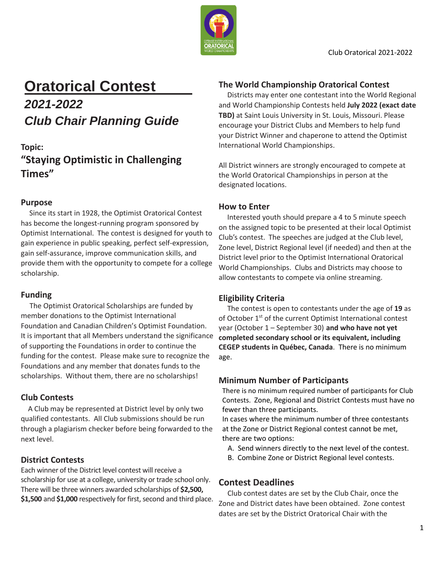

### **Oratorical Contest** *2021-2022 Club Chair Planning Guide*

### **Topic: "Staying Optimistic in Challenging Times"**

#### **Purpose**

Since its start in 1928, the Optimist Oratorical Contest has become the longest-running program sponsored by Optimist International. The contest is designed for youth to gain experience in public speaking, perfect self-expression, gain self-assurance, improve communication skills, and provide them with the opportunity to compete for a college scholarship.

#### **Funding**

The Optimist Oratorical Scholarships are funded by member donations to the Optimist International Foundation and Canadian Children's Optimist Foundation. It is important that all Members understand the significance of supporting the Foundations in order to continue the funding for the contest. Please make sure to recognize the Foundations and any member that donates funds to the scholarships. Without them, there are no scholarships!

#### **Club Contests**

 A Club may be represented at District level by only two qualified contestants. All Club submissions should be run through a plagiarism checker before being forwarded to the next level.

### **District Contests**

Each winner of the District level contest will receive a scholarship for use at a college, university or trade school only. There will be three winners awarded scholarships of **\$2,500, \$1,500** and **\$1,000** respectively for first, second and third place.

#### **The World Championship Oratorical Contest**

Districts may enter one contestant into the World Regional and World Championship Contests held **July 2022 (exact date TBD)** at Saint Louis University in St. Louis, Missouri. Please encourage your District Clubs and Members to help fund your District Winner and chaperone to attend the Optimist International World Championships.

All District winners are strongly encouraged to compete at the World Oratorical Championships in person at the designated locations.

#### **How to Enter**

Interested youth should prepare a 4 to 5 minute speech on the assigned topic to be presented at their local Optimist Club's contest. The speeches are judged at the Club level, Zone level, District Regional level (if needed) and then at the District level prior to the Optimist International Oratorical World Championships. Clubs and Districts may choose to allow contestants to compete via online streaming.

#### **Eligibility Criteria**

The contest is open to contestants under the age of **19** as of October 1<sup>st</sup> of the current Optimist International contest year (October 1 – September 30) **and who have not yet completed secondary school or its equivalent, including CEGEP students in Québec, Canada**. There is no minimum age.

#### **Minimum Number of Participants**

There is no minimum required number of participants for Club Contests. Zone, Regional and District Contests must have no fewer than three participants.

In cases where the minimum number of three contestants at the Zone or District Regional contest cannot be met, there are two options:

- A. Send winners directly to the next level of the contest.
- B. Combine Zone or District Regional level contests.

#### **Contest Deadlines**

Club contest dates are set by the Club Chair, once the Zone and District dates have been obtained. Zone contest dates are set by the District Oratorical Chair with the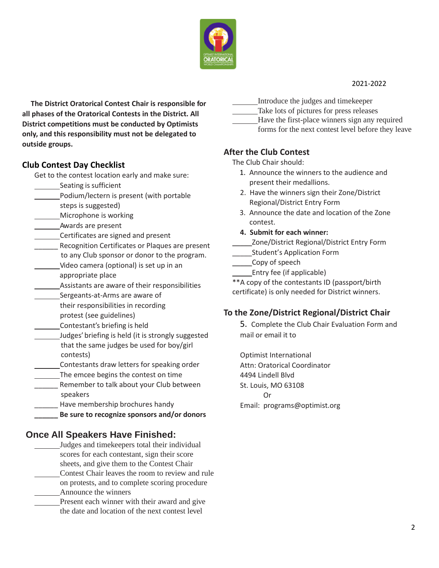

#### 2021-2022

**The District Oratorical Contest Chair is responsible for all phases of the Oratorical Contests in the District. All District competitions must be conducted by Optimists only, and this responsibility must not be delegated to outside groups.**

#### **Club Contest Day Checklist**

Get to the contest location early and make sure:

- Seating is sufficient
- Podium/lectern is present (with portable steps is suggested)
- Microphone is working
- Awards are present
- Certificates are signed and present
- Recognition Certificates or Plaques are present to any Club sponsor or donor to the program.
- Video camera (optional) is set up in an appropriate place
- Assistants are aware of their responsibilities
- Sergeants-at-Arms are aware of their responsibilities in recording protest (see guidelines)
- Contestant's briefing is held
- Judges' briefing is held (it is strongly suggested that the same judges be used for boy/girl contests)
- Contestants draw letters for speaking order
- The emcee begins the contest on time
- Remember to talk about your Club between speakers
- Have membership brochures handy
- **\_\_\_\_\_\_ Be sure to recognize sponsors and/or donors**

### **Once All Speakers Have Finished:**

- Judges and timekeepers total their individual scores for each contestant, sign their score sheets, and give them to the Contest Chair Contest Chair leaves the room to review and rule on protests, and to complete scoring procedure
- Announce the winners
- Present each winner with their award and give the date and location of the next contest level
- Introduce the judges and timekeeper
- Take lots of pictures for press releases
- Have the first-place winners sign any required
	- forms for the next contest level before they leave

#### **After the Club Contest**

The Club Chair should:

- 1. Announce the winners to the audience and present their medallions.
- 2. Have the winners sign their Zone/District Regional/District Entry Form
- 3. Announce the date and location of the Zone contest.
- **4. Submit for each winner:**
- Zone/District Regional/District Entry Form
- \_\_\_\_\_Student's Application Form
- \_\_\_\_\_Copy of speech
- \_\_\_\_\_Entry fee (if applicable)

\*\*A copy of the contestants ID (passport/birth certificate) is only needed for District winners.

### **To the Zone/District Regional/District Chair**

5. Complete the Club Chair Evaluation Form and mail or email it to

Optimist International Attn: Oratorical Coordinator 4494 Lindell Blvd St. Louis, MO 63108 Or Email: programs@optimist.org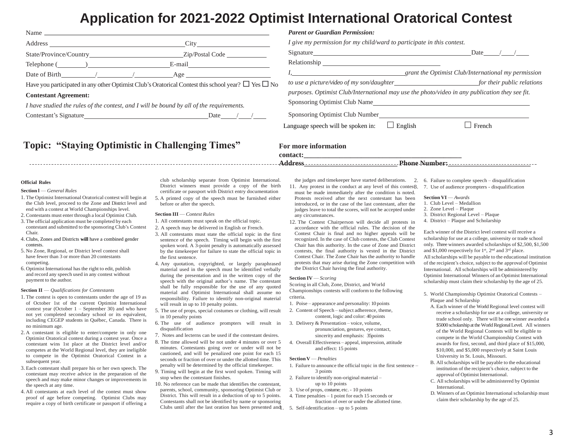### **Application for 2021-2022 Optimist International Oratorical Contest**

|                                                                                                                                                                                                                                                                                                                                                                                                                                                                                                                                                                                                          |                                                                                                              | <b>Parent or Guardian Permission:</b>                                  |                                                                                                |
|----------------------------------------------------------------------------------------------------------------------------------------------------------------------------------------------------------------------------------------------------------------------------------------------------------------------------------------------------------------------------------------------------------------------------------------------------------------------------------------------------------------------------------------------------------------------------------------------------------|--------------------------------------------------------------------------------------------------------------|------------------------------------------------------------------------|------------------------------------------------------------------------------------------------|
| Address                                                                                                                                                                                                                                                                                                                                                                                                                                                                                                                                                                                                  | City                                                                                                         | I give my permission for my child/ward to participate in this contest. |                                                                                                |
| State/Province/Country                                                                                                                                                                                                                                                                                                                                                                                                                                                                                                                                                                                   | Zip/Postal Code                                                                                              | Signature                                                              | Date                                                                                           |
| $\begin{tabular}{c} Telephone & \textbf{\textcolor{blue}{\bf \textcolor{blue}{\bf \textcolor{blue}{\bf \textcolor{blue}{\bf \textcolor{blue}{\bf \textcolor{blue}{\bf \textcolor{blue}{\bf \textcolor{blue}{\bf \textcolor{blue}{\bf \textcolor{blue}{\bf \textcolor{blue}{\bf \textcolor{blue}{\bf \textcolor{blue}{\bf \textcolor{blue}{\bf \textcolor{blue}{\bf \textcolor{blue}{\bf \textcolor{blue}{\bf \textcolor{blue}{\bf \textcolor{blue}{\bf \textcolor{blue}{\bf \textcolor{blue}{\bf \textcolor{blue}{\bf \textcolor{blue}{\bf \textcolor{blue}{\bf \textcolor{blue}{\bf \textcolor{blue}{\$ | E-mail                                                                                                       | Relationship                                                           |                                                                                                |
| Date of Birth                                                                                                                                                                                                                                                                                                                                                                                                                                                                                                                                                                                            | Age                                                                                                          |                                                                        | grant the Optimist Club/International my permission                                            |
|                                                                                                                                                                                                                                                                                                                                                                                                                                                                                                                                                                                                          | Have you participated in any other Optimist Club's Oratorical Contest this school year? $\Box$ Yes $\Box$ No |                                                                        | for their public relations                                                                     |
| <b>Contestant Agreement:</b>                                                                                                                                                                                                                                                                                                                                                                                                                                                                                                                                                                             |                                                                                                              |                                                                        | purposes. Optimist Club/International may use the photo/video in any publication they see fit. |
|                                                                                                                                                                                                                                                                                                                                                                                                                                                                                                                                                                                                          | I have studied the rules of the contest, and I will be bound by all of the requirements.                     | Sponsoring Optimist Club Name                                          |                                                                                                |
| Contestant's Signature                                                                                                                                                                                                                                                                                                                                                                                                                                                                                                                                                                                   | Date                                                                                                         | Sponsoring Optimist Club Number                                        |                                                                                                |
|                                                                                                                                                                                                                                                                                                                                                                                                                                                                                                                                                                                                          |                                                                                                              | Language speech will be spoken in:                                     | $\Box$ French<br>$\Box$ English                                                                |
|                                                                                                                                                                                                                                                                                                                                                                                                                                                                                                                                                                                                          |                                                                                                              |                                                                        |                                                                                                |

### **Topic: "Staying Optimistic in Challenging Times"** For more information

**contact:\_\_\_\_\_\_\_\_\_\_\_\_\_\_\_\_\_\_\_\_\_\_\_\_\_\_\_\_\_\_\_\_\_\_\_\_\_\_\_\_\_\_\_\_**

**Address\_\_\_\_\_\_\_\_\_\_\_\_\_\_\_\_\_\_\_\_\_\_\_\_\_\_ Phone Number:\_\_\_\_\_\_\_\_\_\_\_\_\_\_\_\_\_\_\_\_\_\_\_** 

#### **Official Rules**

#### **Section l** — *General Rules*

- 1. The Optimist International Oratorical contest will begin at the Club level, proceed to the Zone and District level and end with a contest at World Championships level.
- 2. Contestants must enter through a local Optimist Club.
- 3. The official application must be completed by each contestant and submitted to the sponsoring Club's Contest Chair.
- 4. Clubs, Zones and Districts **will** have a combined gender contests.
- 5. No Zone, Regional, or District level contest shall have fewer than 3 or more than 20 contestants competing.
- 6. Optimist International has the right to edit, publish and record any speech used in any contest without payment to the author.

#### **Section II** — *Qualifications for Contestants*

- 1. The contest is open to contestants under the age of 19 as of October 1st of the current Optimist International contest year (October 1 – September 30) and who have not yet completed secondary school or its equivalent, including CEGEP students in Québec, Canada. There is no minimum age.
- 2. A contestant is eligible to enter/compete in only one Optimist Oratorical contest during a contest year. Once a contestant wins 1st place at the District level and/or competes at the World Regional level, they are ineligible to compete in the Optimist Oratorical Contest in a subsequent year.
- 3. Each contestant shall prepare his or her own speech. The contestant may receive advice in the preparation of the speech and may make minor changes or improvements in the speech at any time.
- 4. All contestants at each level of the contest must show proof of age before competing. Optimist Clubs may require a copy of birth certificate or passport if offering a

club scholarship separate from Optimist International. District winners must provide a copy of the birth certificate or passport with District entry documentation

5. A printed copy of the speech must be furnished either before or after the speech.

#### **Section III** — *Contest Rules*

- 1. All contestants must speak on the official topic.
- 2. A speech may be delivered in English or French.
- 3. All contestants must state the official topic in the first sentence of the speech. Timing will begin with the first spoken word. A 3-point penalty is automatically assessed by the timekeeper for failure to state the official topic in the first sentence.
- 4. Any quotation, copyrighted, or largely paraphrased material used in the speech must be identified verbally during the presentation and in the written copy of the speech with the original author's name. The contestant shall be fully responsible for the use of any quoted material and Optimist International shall assume no responsibility. Failure to identify non-original material will result in up to 10 penalty points.
- 5. The use of props, special costumes or clothing, will result in 10 penalty points
- 6. The use of audience prompters will result in disqualification
- 7. Notes and lecterns can be used if the contestant desires.
- 8. The time allowed will be not under 4 minutes or over 5 minutes. Contestants going over or under will not be cautioned, and will be penalized one point for each 15 seconds or fraction of over or under the allotted time. This penalty will be determined by the official timekeeper.
- 9. Timing will begin at the first word spoken. Timing will stop when the contestant finishes.
- 10. No reference can be made that identifies the contestant, parents, school, community, sponsoring Optimist Club or District. This will result in a deduction of up to 5 points. Contestants shall not be identified by name or sponsoring Clubs until after the last oration has been presented and
- the judges and timekeeper have started deliberations. 11. Any protest in the conduct at any level of this contes  $6$ .
- must be made immediately after the condition is noted. Protests received after the next contestant has been introduced, or in the case of the last contestant, after the judges leave to total the scores, will not be accepted under any circumstances.
- 12. The Contest Chairperson will decide all protests in accordance with the official rules. The decision of the Contest Chair is final and no higher appeals will be recognized. In the case of Club contests, the Club Contest Chair has this authority. In the case of Zone and District contests, the final authority is vested in the District Contest Chair. The Zone Chair has the authority to handle protests that may arise during the Zone competition with the District Chair having the final authority.

#### **Section IV** — *Scoring*

Scoring in all Club, Zone, District, and World Championships contests will conform to the following criteria.

- 1. Poise appearance and personality: 10 points
- 2. Content of Speech subject adherence, theme, content, logic and color: 40 points
- 3. Delivery & Presentation voice, volume, pronunciation, gestures, eye contact, sincerity and emphasis: 35points
- 4. Overall Effectiveness appeal, impression, attitude and effect: 15 points

#### **Section V** — *Penalties*

- 1. Failure to announce the official topic in the first sentence 3 points
- 2. Failure to identify non-original material up to 10 points
- 3. Use of props, costume, etc. 10 points
- 4. Time penalties 1 point for each 15 seconds or fraction of over or under the allotted time.
- 1. 5. Self-identification up to 5 points
- 2. 6. Failure to complete speech disqualification 3. 7. Use of audience prompters - disqualification
	- **Section VI** *Awards*
	- 1. Club Level Medallion
	- 2. Zone Level Plaque
	- 3. District Regional Level Plaque
	- 4. District Plaque and Scholarship

Each winner of the District level contest will receive a scholarship for use at a college, university or trade school only. Three winners awarded scholarships of \$2,500, \$1,500 and \$1,000 respectively for  $1<sup>st</sup>$ ,  $2<sup>nd</sup>$  and  $3<sup>rd</sup>$  place. All scholarships will be payable to the educational institution of the recipient's choice, subject to the approval of Optimist International. Allscholarships will be administered by Optimist International Winners of an Optimist International scholarship must claim their scholarship by the age of 25.

- 5. World Championship Optimist Oratorical Contests Plaque and Scholarship
	- A. Each winner of the World Regional level contest will receive a scholarship for use at a college, university or trade school only. There will be one winner awarded a \$5000 scholarship at the World Regional Level. All winners of the World Regional Contests will be eligible to compete in the World Championship Contest with awards for first, second, and third place of \$15,000, \$10,000, and \$5,000 respectively at Saint Louis University in St. Louis, Missouri.
- B. All scholarships will be payable to the educational institution of the recipient's choice, subject to the approval of Optimist International.
- C. All scholarships will be administered by Optimist International.
- D. Winners of an Optimist International scholarship must claim their scholarship by the age of 25.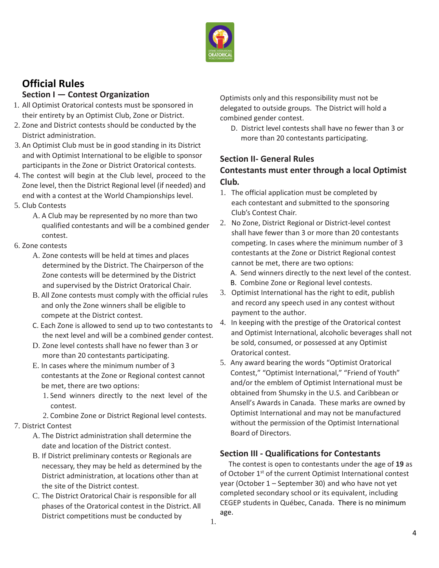

## **Official Rules**

#### **Section I — Contest Organization**

- 1. All Optimist Oratorical contests must be sponsored in their entirety by an Optimist Club, Zone or District.
- 2. Zone and District contests should be conducted by the District administration.
- 3. An Optimist Club must be in good standing in its District and with Optimist International to be eligible to sponsor participants in the Zone or District Oratorical contests.
- 4. The contest will begin at the Club level, proceed to the Zone level, then the District Regional level (if needed) and end with a contest at the World Championships level.
- 5. Club Contests
	- A. A Club may be represented by no more than two qualified contestants and will be a combined gender contest.
- 6. Zone contests
	- A. Zone contests will be held at times and places determined by the District. The Chairperson of the Zone contests will be determined by the District and supervised by the District Oratorical Chair.
	- B. All Zone contests must comply with the official rules and only the Zone winners shall be eligible to compete at the District contest.
	- C. Each Zone is allowed to send up to two contestants to the next level and will be a combined gender contest.
	- D. Zone level contests shall have no fewer than 3 or more than 20 contestants participating.
	- E. In cases where the minimum number of 3 contestants at the Zone or Regional contest cannot be met, there are two options:
		- 1. Send winners directly to the next level of the contest.
		- 2. Combine Zone or District Regional level contests.

#### 7. District Contest

- A. The District administration shall determine the date and location of the District contest.
- B. If District preliminary contests or Regionals are necessary, they may be held as determined by the District administration, at locations other than at the site of the District contest.
- C. The District Oratorical Chair is responsible for all phases of the Oratorical contest in the District. All District competitions must be conducted by

Optimists only and this responsibility must not be delegated to outside groups. The District will hold a combined gender contest.

 D. District level contests shall have no fewer than 3 or more than 20 contestants participating.

#### **Section II- General Rules Contestants must enter through a local Optimist Club.**

- 1. The official application must be completed by each contestant and submitted to the sponsoring Club's Contest Chair.
- 2. No Zone, District Regional or District-level contest shall have fewer than 3 or more than 20 contestants competing. In cases where the minimum number of 3 contestants at the Zone or District Regional contest cannot be met, there are two options:
	- A. Send winners directly to the next level of the contest.
	- B. Combine Zone or Regional level contests.
- 3. Optimist International has the right to edit, publish and record any speech used in any contest without payment to the author.
- 4. In keeping with the prestige of the Oratorical contest and Optimist International, alcoholic beverages shall not be sold, consumed, or possessed at any Optimist Oratorical contest.
- 5. Any award bearing the words "Optimist Oratorical Contest," "Optimist International," "Friend of Youth" and/or the emblem of Optimist International must be obtained from Shumsky in the U.S. and Caribbean or Ansell's Awards in Canada. These marks are owned by Optimist International and may not be manufactured without the permission of the Optimist International Board of Directors.

### **Section III - Qualifications for Contestants**

The contest is open to contestants under the age of **19** as of October 1<sup>st</sup> of the current Optimist International contest year (October 1 – September 30) and who have not yet completed secondary school or its equivalent, including CEGEP students in Québec, Canada. There is no minimum age.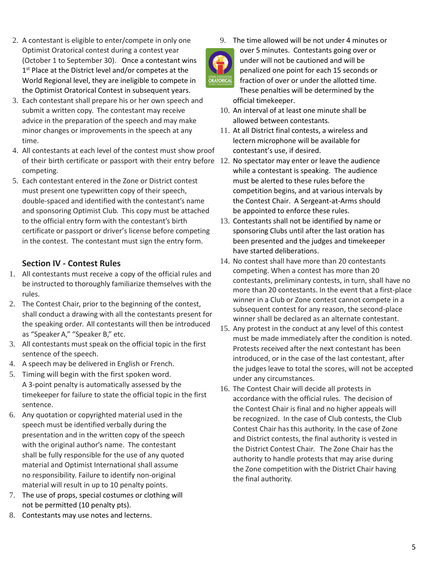- 2. A contestant is eligible to enter/compete in only one Optimist Oratorical contest during a contest year (October 1 to September 30). Once a contestant wins 1<sup>st</sup> Place at the District level and/or competes at the World Regional level, they are ineligible to compete in the Optimist Oratorical Contest in subsequent years.
- 3. Each contestant shall prepare his or her own speech and submit a written copy. The contestant may receive advice in the preparation of the speech and may make minor changes or improvements in the speech at any time.
- 4. All contestants at each level of the contest must show proof of their birth certificate or passport with their entry before 12. No spectator may enter or leave the audience competing.
- 5. Each contestant entered in the Zone or District contest must present one typewritten copy of their speech, double-spaced and identified with the contestant's name and sponsoring Optimist Club. This copy must be attached to the official entry form with the contestant's birth certificate or passport or driver's license before competing in the contest. The contestant must sign the entry form.

#### **Section IV - Contest Rules**

- 1. All contestants must receive a copy of the official rules and be instructed to thoroughly familiarize themselves with the rules.
- 2. The Contest Chair, prior to the beginning of the contest, shall conduct a drawing with all the contestants present for the speaking order. All contestants will then be introduced as "Speaker A," "Speaker B," etc.
- 3. All contestants must speak on the official topic in the first sentence of the speech.
- 4. A speech may be delivered in English or French.
- 5. Timing will begin with the first spoken word. A 3-point penalty is automatically assessed by the timekeeper for failure to state the official topic in the first sentence.
- 6. Any quotation or copyrighted material used in the speech must be identified verbally during the presentation and in the written copy of the speech with the original author's name. The contestant shall be fully responsible for the use of any quoted material and Optimist International shall assume no responsibility. Failure to identify non-original material will result in up to 10 penalty points.
- 7. The use of props, special costumes or clothing will not be permitted (10 penalty pts).
- 8. Contestants may use notes and lecterns.





over 5 minutes. Contestants going over or under will not be cautioned and will be penalized one point for each 15 seconds or fraction of over or under the allotted time. These penalties will be determined by the official timekeeper.

- 10. An interval of at least one minute shall be allowed between contestants.
- 11. At all District final contests, a wireless and lectern microphone will be available for contestant's use, if desired.
- while a contestant is speaking. The audience must be alerted to these rules before the competition begins, and at various intervals by the Contest Chair. A Sergeant-at-Arms should be appointed to enforce these rules.
- 13. Contestants shall not be identified by name or sponsoring Clubs until after the last oration has been presented and the judges and timekeeper have started deliberations.
- 14. No contest shall have more than 20 contestants competing. When a contest has more than 20 contestants, preliminary contests, in turn, shall have no more than 20 contestants. In the event that a first-place winner in a Club or Zone contest cannot compete in a subsequent contest for any reason, the second-place winner shall be declared as an alternate contestant.
- 15. Any protest in the conduct at any level of this contest must be made immediately after the condition is noted. Protests received after the next contestant has been introduced, or in the case of the last contestant, after the judges leave to total the scores, will not be accepted under any circumstances.
- 16. The Contest Chair will decide all protests in accordance with the official rules. The decision of the Contest Chair is final and no higher appeals will be recognized. In the case of Club contests, the Club Contest Chair has this authority. In the case of Zone and District contests, the final authority is vested in the District Contest Chair. The Zone Chair has the authority to handle protests that may arise during the Zone competition with the District Chair having the final authority.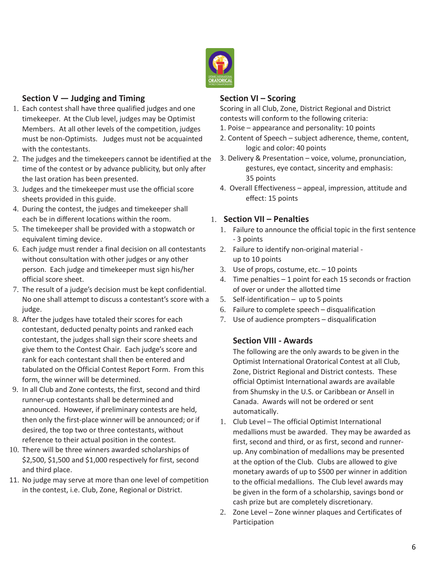

#### **Section V — Judging and Timing**

- 1. Each contest shall have three qualified judges and one timekeeper. At the Club level, judges may be Optimist Members. At all other levels of the competition, judges must be non-Optimists. Judges must not be acquainted with the contestants.
- 2. The judges and the timekeepers cannot be identified at the time of the contest or by advance publicity, but only after the last oration has been presented.
- 3. Judges and the timekeeper must use the official score sheets provided in this guide.
- 4. During the contest, the judges and timekeeper shall each be in different locations within the room.
- 5. The timekeeper shall be provided with a stopwatch or equivalent timing device.
- 6. Each judge must render a final decision on all contestants without consultation with other judges or any other person. Each judge and timekeeper must sign his/her official score sheet.
- 7. The result of a judge's decision must be kept confidential. No one shall attempt to discuss a contestant's score with a judge.
- 8. After the judges have totaled their scores for each contestant, deducted penalty points and ranked each contestant, the judges shall sign their score sheets and give them to the Contest Chair. Each judge's score and rank for each contestant shall then be entered and tabulated on the Official Contest Report Form. From this form, the winner will be determined.
- 9. In all Club and Zone contests, the first, second and third runner-up contestants shall be determined and announced. However, if preliminary contests are held, then only the first-place winner will be announced; or if desired, the top two or three contestants, without reference to their actual position in the contest.
- 10. There will be three winners awarded scholarships of \$2,500, \$1,500 and \$1,000 respectively for first, second and third place.
- 11. No judge may serve at more than one level of competition in the contest, i.e. Club, Zone, Regional or District.

#### **Section VI – Scoring**

Scoring in all Club, Zone, District Regional and District contests will conform to the following criteria:

- 1. Poise appearance and personality: 10 points
- 2. Content of Speech subject adherence, theme, content, logic and color: 40 points
- 3. Delivery & Presentation voice, volume, pronunciation, gestures, eye contact, sincerity and emphasis: 35 points
- 4. Overall Effectiveness appeal, impression, attitude and effect: 15 points

#### 1. **Section VII – Penalties**

- 1. Failure to announce the official topic in the first sentence - 3 points
- 2. Failure to identify non-original material up to 10 points
- 3. Use of props, costume, etc.  $-10$  points
- 4. Time penalties 1 point for each 15 seconds or fraction of over or under the allotted time
- 5. Self-identification up to 5 points
- 6. Failure to complete speech disqualification
- 7. Use of audience prompters disqualification

#### **Section VIII - Awards**

The following are the only awards to be given in the Optimist International Oratorical Contest at all Club, Zone, District Regional and District contests. These official Optimist International awards are available from Shumsky in the U.S. or Caribbean or Ansell in Canada. Awards will not be ordered or sent automatically.

- 1. Club Level The official Optimist International medallions must be awarded. They may be awarded as first, second and third, or as first, second and runnerup. Any combination of medallions may be presented at the option of the Club. Clubs are allowed to give monetary awards of up to \$500 per winner in addition to the official medallions. The Club level awards may be given in the form of a scholarship, savings bond or cash prize but are completely discretionary.
- 2. Zone Level Zone winner plaques and Certificates of Participation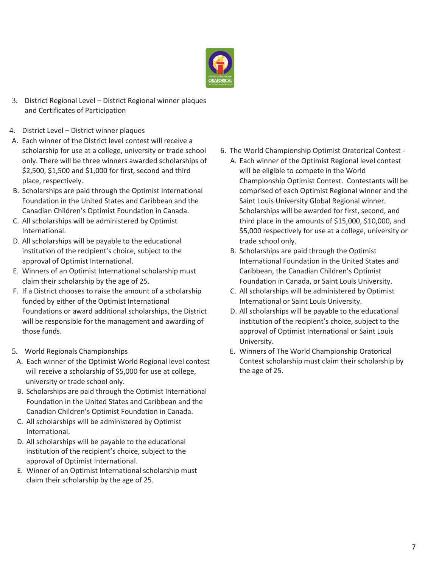

- 3. District Regional Level District Regional winner plaques and Certificates of Participation
- 4. District Level District winner plaques
- A. Each winner of the District level contest will receive a scholarship for use at a college, university or trade school only. There will be three winners awarded scholarships of \$2,500, \$1,500 and \$1,000 for first, second and third place, respectively.
- B. Scholarships are paid through the Optimist International Foundation in the United States and Caribbean and the Canadian Children's Optimist Foundation in Canada.
- C. All scholarships will be administered by Optimist International.
- D. All scholarships will be payable to the educational institution of the recipient's choice, subject to the approval of Optimist International.
- E. Winners of an Optimist International scholarship must claim their scholarship by the age of 25.
- F. If a District chooses to raise the amount of a scholarship funded by either of the Optimist International Foundations or award additional scholarships, the District will be responsible for the management and awarding of those funds.
- 5. World Regionals Championships
- A. Each winner of the Optimist World Regional level contest will receive a scholarship of \$5,000 for use at college, university or trade school only.
- B. Scholarships are paid through the Optimist International Foundation in the United States and Caribbean and the Canadian Children's Optimist Foundation in Canada.
- C. All scholarships will be administered by Optimist International.
- D. All scholarships will be payable to the educational institution of the recipient's choice, subject to the approval of Optimist International.
- E. Winner of an Optimist International scholarship must claim their scholarship by the age of 25.
- 6. The World Championship Optimist Oratorical Contest
	- A. Each winner of the Optimist Regional level contest will be eligible to compete in the World Championship Optimist Contest. Contestants will be comprised of each Optimist Regional winner and the Saint Louis University Global Regional winner. Scholarships will be awarded for first, second, and third place in the amounts of \$15,000, \$10,000, and \$5,000 respectively for use at a college, university or trade school only.
	- B. Scholarships are paid through the Optimist International Foundation in the United States and Caribbean, the Canadian Children's Optimist Foundation in Canada, or Saint Louis University.
	- C. All scholarships will be administered by Optimist International or Saint Louis University.
	- D. All scholarships will be payable to the educational institution of the recipient's choice, subject to the approval of Optimist International or Saint Louis University.
	- E. Winners of The World Championship Oratorical Contest scholarship must claim their scholarship by the age of 25.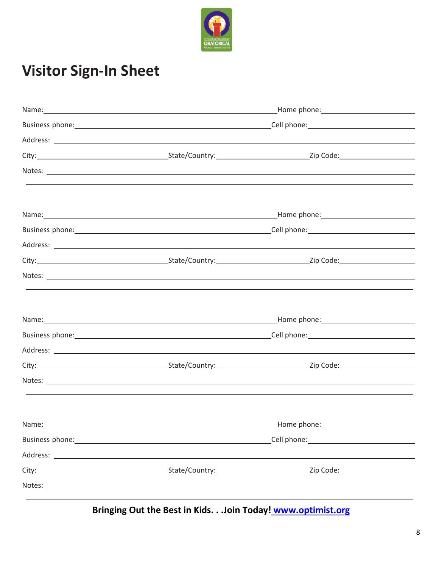

# **Visitor Sign-In Sheet**

|       |                                                                 | ,我们也不会有什么?""我们的人,我们也不会有什么?""我们的人,我们也不会有什么?""我们的人,我们也不会有什么?""我们的人,我们也不会有什么?""我们的人 |  |  |  |  |
|-------|-----------------------------------------------------------------|----------------------------------------------------------------------------------|--|--|--|--|
|       |                                                                 |                                                                                  |  |  |  |  |
| Name: |                                                                 |                                                                                  |  |  |  |  |
|       | Business phone: Cell phone: Cell phone: Cell phone: Cell phone: |                                                                                  |  |  |  |  |
|       |                                                                 |                                                                                  |  |  |  |  |
|       |                                                                 |                                                                                  |  |  |  |  |
|       |                                                                 |                                                                                  |  |  |  |  |
|       |                                                                 |                                                                                  |  |  |  |  |

**Bringing Out the Best in Kids. . .Join Today! [www.optimist.org](http://www.optimist.org/)**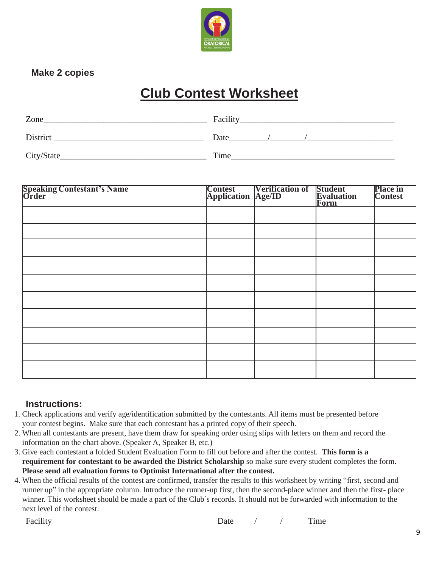

### **Make 2 copies**

## **Club Contest Worksheet**

| Zone        | Facility |
|-------------|----------|
| District    | Date     |
| City/State_ | Time     |

| Speaking Contestant's Name<br>Order | <b>Contest Verification of Student<br/>Application Age/ID Evaluation</b> | <b>Place in</b><br><b>Contest</b> |
|-------------------------------------|--------------------------------------------------------------------------|-----------------------------------|
|                                     |                                                                          |                                   |
|                                     |                                                                          |                                   |
|                                     |                                                                          |                                   |
|                                     |                                                                          |                                   |
|                                     |                                                                          |                                   |
|                                     |                                                                          |                                   |
|                                     |                                                                          |                                   |
|                                     |                                                                          |                                   |
|                                     |                                                                          |                                   |
|                                     |                                                                          |                                   |

#### **Instructions:**

- 1. Check applications and verify age/identification submitted by the contestants. All items must be presented before your contest begins. Make sure that each contestant has a printed copy of their speech.
- 2. When all contestants are present, have them draw for speaking order using slips with letters on them and record the information on the chart above. (Speaker A, Speaker B, etc.)
- 3. Give each contestant a folded Student Evaluation Form to fill out before and after the contest. **This form is a requirement for contestant to be awarded the District Scholarship** so make sure every student completes the form. **Please send all evaluation forms to Optimist International after the contest.**
- 4. When the official results of the contest are confirmed, transfer the results to this worksheet by writing "first, second and runner up" in the appropriate column. Introduce the runner-up first, then the second-place winner and then the first- place winner. This worksheet should be made a part of the Club's records. It should not be forwarded with information to the next level of the contest.

Facility Time  $Date$  / / / Time Time

9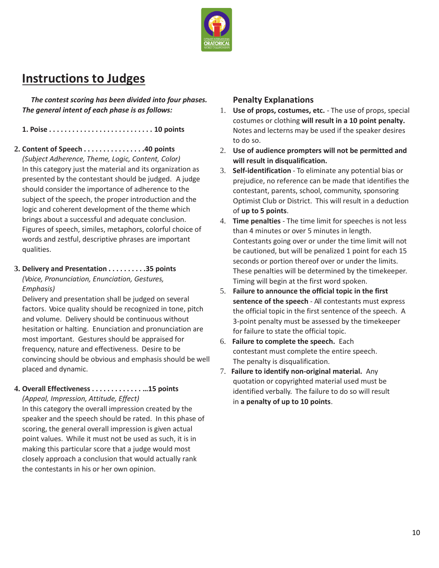

### **Instructions to Judges**

*The contest scoring has been divided into four phases. The general intent of each phase is as follows:*

**1. Poise . . . . . . . . . . . . . . . . . . . . . . . . . . . 10 points**

**2. Content of Speech . . . . . . . . . . . . . . . .40 points** *(Subject Adherence, Theme, Logic, Content, Color)* In this category just the material and its organization as presented by the contestant should be judged. A judge should consider the importance of adherence to the subject of the speech, the proper introduction and the logic and coherent development of the theme which brings about a successful and adequate conclusion. Figures of speech, similes, metaphors, colorful choice of words and zestful, descriptive phrases are important qualities.

#### **3. Delivery and Presentation . . . . . . . . . .35 points**  *(Voice, Pronunciation, Enunciation, Gestures,*

*Emphasis)*

Delivery and presentation shall be judged on several factors. Voice quality should be recognized in tone, pitch and volume. Delivery should be continuous without hesitation or halting. Enunciation and pronunciation are most important. Gestures should be appraised for frequency, nature and effectiveness. Desire to be convincing should be obvious and emphasis should be well placed and dynamic.

#### **4. Overall Effectiveness . . . . . . . . . . . . . …15 points** *(Appeal, Impression, Attitude, Effect)*

In this category the overall impression created by the speaker and the speech should be rated. In this phase of scoring, the general overall impression is given actual point values. While it must not be used as such, it is in making this particular score that a judge would most closely approach a conclusion that would actually rank the contestants in his or her own opinion.

#### **Penalty Explanations**

- 1. **Use of props, costumes, etc.**  The use of props, special costumes or clothing **will result in a 10 point penalty.** Notes and lecterns may be used if the speaker desires to do so.
- 2. **Use of audience prompters will not be permitted and will result in disqualification.**
- 3. **Self-identification** To eliminate any potential bias or prejudice, no reference can be made that identifies the contestant, parents, school, community, sponsoring Optimist Club or District. This will result in a deduction of **up to 5 points**.
- 4. **Time penalties**  The time limit for speeches is not less than 4 minutes or over 5 minutes in length. Contestants going over or under the time limit will not be cautioned, but will be penalized 1 point for each 15 seconds or portion thereof over or under the limits. These penalties will be determined by the timekeeper. Timing will begin at the first word spoken.
- 5. **Failure to announce the official topic in the first sentence of the speech** - All contestants must express the official topic in the first sentence of the speech. A 3-point penalty must be assessed by the timekeeper for failure to state the official topic.
- 6. **Failure to complete the speech.** Each contestant must complete the entire speech. The penalty is disqualification.
- 7. **Failure to identify non-original material.** Any quotation or copyrighted material used must be identified verbally. The failure to do so will result in **a penalty of up to 10 points**.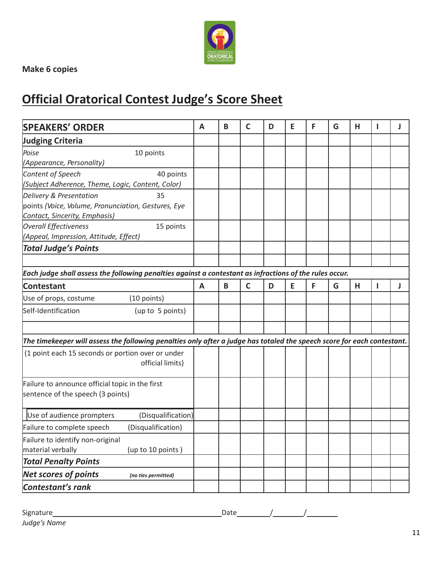

**Make 6 copies**

### **Official Oratorical Contest Judge's Score Sheet**

| <b>SPEAKERS' ORDER</b>                                                                                                  | A | $\mathbf{B}$ | $\mathsf{C}$ | D | E | F | G | H | ı | J |
|-------------------------------------------------------------------------------------------------------------------------|---|--------------|--------------|---|---|---|---|---|---|---|
| <b>Judging Criteria</b>                                                                                                 |   |              |              |   |   |   |   |   |   |   |
| Poise<br>10 points<br>(Appearance, Personality)                                                                         |   |              |              |   |   |   |   |   |   |   |
| Content of Speech<br>40 points<br>(Subject Adherence, Theme, Logic, Content, Color)                                     |   |              |              |   |   |   |   |   |   |   |
| Delivery & Presentation<br>35<br>points (Voice, Volume, Pronunciation, Gestures, Eye<br>Contact, Sincerity, Emphasis)   |   |              |              |   |   |   |   |   |   |   |
| <b>Overall Effectiveness</b><br>15 points<br>(Appeal, Impression, Attitude, Effect)                                     |   |              |              |   |   |   |   |   |   |   |
| <b>Total Judge's Points</b>                                                                                             |   |              |              |   |   |   |   |   |   |   |
| Each judge shall assess the following penalties against a contestant as infractions of the rules occur.                 |   |              |              |   |   |   |   |   |   |   |
| <b>Contestant</b>                                                                                                       | A | B            | $\mathsf{C}$ | D | E | F | G | H | ı | J |
| Use of props, costume<br>(10 points)                                                                                    |   |              |              |   |   |   |   |   |   |   |
| Self-Identification<br>(up to 5 points)                                                                                 |   |              |              |   |   |   |   |   |   |   |
| The timekeeper will assess the following penalties only after a judge has totaled the speech score for each contestant. |   |              |              |   |   |   |   |   |   |   |
| (1 point each 15 seconds or portion over or under<br>official limits)                                                   |   |              |              |   |   |   |   |   |   |   |
| Failure to announce official topic in the first<br>sentence of the speech (3 points)                                    |   |              |              |   |   |   |   |   |   |   |
| Use of audience prompters<br>(Disqualification)                                                                         |   |              |              |   |   |   |   |   |   |   |
| Failure to complete speech<br>(Disqualification)                                                                        |   |              |              |   |   |   |   |   |   |   |
| Failure to identify non-original<br>material verbally<br>(up to 10 points)                                              |   |              |              |   |   |   |   |   |   |   |
| <b>Total Penalty Points</b>                                                                                             |   |              |              |   |   |   |   |   |   |   |
| <b>Net scores of points</b><br>(no ties permitted)                                                                      |   |              |              |   |   |   |   |   |   |   |
| Contestant's rank                                                                                                       |   |              |              |   |   |   |   |   |   |   |

Signature 1.1 and 2.1 and 2.1 and 2.1 and 2.1 and 2.1 and 2.1 and 2.1 and 2.1 and 2.1 and 2.1 and 2.1 and 2.1 and 2.1 and 2.1 and 2.1 and 2.1 and 2.1 and 2.1 and 2.1 and 2.1 and 2.1 and 2.1 and 2.1 and 2.1 and 2.1 and 2.1

*Judge's Name*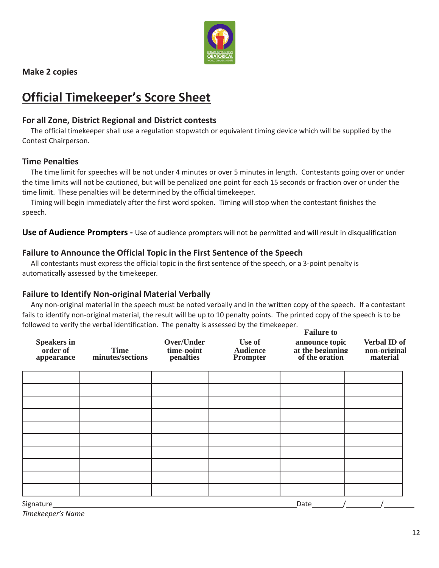

**Make 2 copies**

### **Official Timekeeper's Score Sheet**

#### **For all Zone, District Regional and District contests**

The official timekeeper shall use a regulation stopwatch or equivalent timing device which will be supplied by the Contest Chairperson.

#### **Time Penalties**

The time limit for speeches will be not under 4 minutes or over 5 minutes in length. Contestants going over or under the time limits will not be cautioned, but will be penalized one point for each 15 seconds or fraction over or under the time limit. These penalties will be determined by the official timekeeper.

Timing will begin immediately after the first word spoken. Timing will stop when the contestant finishes the speech.

**Use of Audience Prompters -** Use of audience prompters will not be permitted and will result in disqualification

#### **Failure to Announce the Official Topic in the First Sentence of the Speech**

All contestants must express the official topic in the first sentence of the speech, or a 3-point penalty is automatically assessed by the timekeeper.

#### **Failure to Identify Non-original Material Verbally**

Any non-original material in the speech must be noted verbally and in the written copy of the speech. If a contestant fails to identify non-original material, the result will be up to 10 penalty points. The printed copy of the speech is to be followed to verify the verbal identification. The penalty is assessed by the timekeeper.

| <b>Speakers in</b><br>order of<br>appearance | <b>Time</b><br>minutes/sections | Over/Under<br>time-point<br>penalties | Use of<br><b>Audience</b><br>Prompter | <b>Failure to</b><br>announce topic<br>at the beginning<br>of the oration | Verbal ID of<br>non-original<br>material |
|----------------------------------------------|---------------------------------|---------------------------------------|---------------------------------------|---------------------------------------------------------------------------|------------------------------------------|
|                                              |                                 |                                       |                                       |                                                                           |                                          |
|                                              |                                 |                                       |                                       |                                                                           |                                          |
|                                              |                                 |                                       |                                       |                                                                           |                                          |
|                                              |                                 |                                       |                                       |                                                                           |                                          |
|                                              |                                 |                                       |                                       |                                                                           |                                          |
|                                              |                                 |                                       |                                       |                                                                           |                                          |
|                                              |                                 |                                       |                                       |                                                                           |                                          |
|                                              |                                 |                                       |                                       |                                                                           |                                          |
|                                              |                                 |                                       |                                       |                                                                           |                                          |
|                                              |                                 |                                       |                                       |                                                                           |                                          |
| Signature                                    |                                 |                                       |                                       | Date                                                                      |                                          |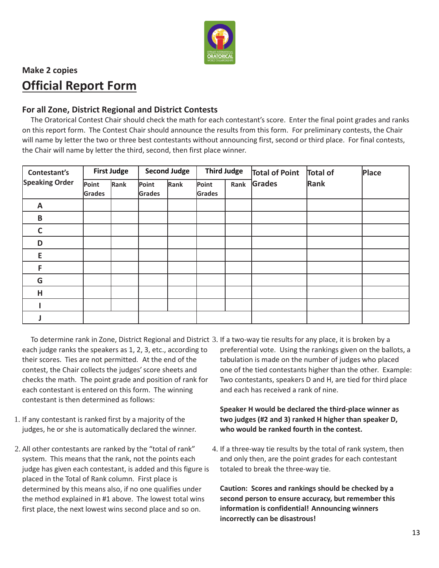

### **Make 2 copies Official Report Form**

#### **For all Zone, District Regional and District Contests**

The Oratorical Contest Chair should check the math for each contestant's score. Enter the final point grades and ranks on this report form. The Contest Chair should announce the results from this form. For preliminary contests, the Chair will name by letter the two or three best contestants without announcing first, second or third place. For final contests, the Chair will name by letter the third, second, then first place winner.

| Contestant's          |                 | <b>First Judge</b> |                        | <b>Second Judge</b> |                        | <b>Third Judge</b> | <b>Total of Point</b> | <b>Total of</b> | Place |
|-----------------------|-----------------|--------------------|------------------------|---------------------|------------------------|--------------------|-----------------------|-----------------|-------|
| <b>Speaking Order</b> | Point<br>Grades | Rank               | Point<br><b>Grades</b> | Rank                | Point<br><b>Grades</b> | Rank               | Grades                | Rank            |       |
| A                     |                 |                    |                        |                     |                        |                    |                       |                 |       |
| B                     |                 |                    |                        |                     |                        |                    |                       |                 |       |
| $\mathsf{C}$          |                 |                    |                        |                     |                        |                    |                       |                 |       |
| D                     |                 |                    |                        |                     |                        |                    |                       |                 |       |
| E                     |                 |                    |                        |                     |                        |                    |                       |                 |       |
| F                     |                 |                    |                        |                     |                        |                    |                       |                 |       |
| G                     |                 |                    |                        |                     |                        |                    |                       |                 |       |
| H                     |                 |                    |                        |                     |                        |                    |                       |                 |       |
|                       |                 |                    |                        |                     |                        |                    |                       |                 |       |
|                       |                 |                    |                        |                     |                        |                    |                       |                 |       |

To determine rank in Zone, District Regional and District 3. If a two-way tie results for any place, it is broken by a each judge ranks the speakers as 1, 2, 3, etc., according to their scores. Ties are not permitted. At the end of the contest, the Chair collects the judges'score sheets and checks the math. The point grade and position of rank for each contestant is entered on this form. The winning contestant is then determined as follows:

- 1. If any contestant is ranked first by a majority of the judges, he or she is automatically declared the winner.
- 2. All other contestants are ranked by the "total of rank" system. This means that the rank, not the points each judge has given each contestant, is added and this figure is placed in the Total of Rank column. First place is determined by this means also, if no one qualifies under the method explained in #1 above. The lowest total wins first place, the next lowest wins second place and so on.
- preferential vote. Using the rankings given on the ballots, a tabulation is made on the number of judges who placed one of the tied contestants higher than the other. Example: Two contestants, speakers D and H, are tied for third place and each has received a rank of nine.

#### **Speaker H would be declared the third-place winner as two judges (#2 and 3) ranked H higher than speaker D, who would be ranked fourth in the contest.**

4. If a three-way tie results by the total of rank system, then and only then, are the point grades for each contestant totaled to break the three-way tie.

**Caution: Scores and rankings should be checked by a second person to ensure accuracy, but remember this information is confidential! Announcing winners incorrectly can be disastrous!**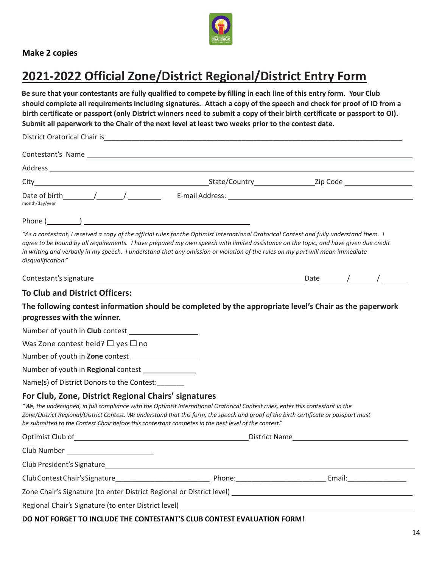

### **2021-2022 Official Zone/District Regional/District Entry Form**

Be sure that your contestants are fully qualified to compete by filling in each line of this entry form. Your Club **should complete all requirements including signatures. Attach a copy of the speech and check for proof of ID from a birth certificate or passport (only District winners need to submit a copy of their birth certificate or passport to OI). Submit all paperwork to the Chair of the next level at least two weeks prior to the contest date.**

| month/day/year                                                                                                                                                                                                                                                                                                                                                                                                                           |                                                  |  |
|------------------------------------------------------------------------------------------------------------------------------------------------------------------------------------------------------------------------------------------------------------------------------------------------------------------------------------------------------------------------------------------------------------------------------------------|--------------------------------------------------|--|
|                                                                                                                                                                                                                                                                                                                                                                                                                                          |                                                  |  |
| "As a contestant, I received a copy of the official rules for the Optimist International Oratorical Contest and fully understand them. I<br>agree to be bound by all requirements. I have prepared my own speech with limited assistance on the topic, and have given due credit<br>in writing and verbally in my speech. I understand that any omission or violation of the rules on my part will mean immediate<br>disqualification."  |                                                  |  |
|                                                                                                                                                                                                                                                                                                                                                                                                                                          |                                                  |  |
| <b>To Club and District Officers:</b>                                                                                                                                                                                                                                                                                                                                                                                                    |                                                  |  |
| The following contest information should be completed by the appropriate level's Chair as the paperwork<br>progresses with the winner.                                                                                                                                                                                                                                                                                                   |                                                  |  |
|                                                                                                                                                                                                                                                                                                                                                                                                                                          |                                                  |  |
| Was Zone contest held? $\Box$ yes $\Box$ no                                                                                                                                                                                                                                                                                                                                                                                              |                                                  |  |
|                                                                                                                                                                                                                                                                                                                                                                                                                                          |                                                  |  |
| Number of youth in Regional contest ______________                                                                                                                                                                                                                                                                                                                                                                                       |                                                  |  |
| Name(s) of District Donors to the Contest:                                                                                                                                                                                                                                                                                                                                                                                               |                                                  |  |
| For Club, Zone, District Regional Chairs' signatures<br>"We, the undersigned, in full compliance with the Optimist International Oratorical Contest rules, enter this contestant in the<br>Zone/District Regional/District Contest. We understand that this form, the speech and proof of the birth certificate or passport must<br>be submitted to the Contest Chair before this contestant competes in the next level of the contest." |                                                  |  |
|                                                                                                                                                                                                                                                                                                                                                                                                                                          |                                                  |  |
| Club Number<br>the contract of the contract of the contract of the contract of the contract of                                                                                                                                                                                                                                                                                                                                           |                                                  |  |
|                                                                                                                                                                                                                                                                                                                                                                                                                                          |                                                  |  |
|                                                                                                                                                                                                                                                                                                                                                                                                                                          |                                                  |  |
| Zone Chair's Signature (to enter District Regional or District level) [2010] [2010] [2010] [2010] [2010] [2010                                                                                                                                                                                                                                                                                                                           |                                                  |  |
|                                                                                                                                                                                                                                                                                                                                                                                                                                          |                                                  |  |
|                                                                                                                                                                                                                                                                                                                                                                                                                                          | INCLUDE THE CONTECTANTIC CLUB CONTECT FUALUATION |  |

**DO NOT FORGET TO INCLUDE THE CONTESTANT'S CLUB CONTEST EVALUATION FORM!**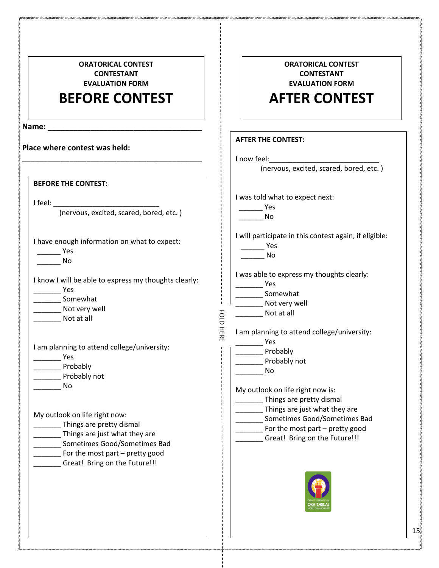| <b>ORATORICAL CONTEST</b> |
|---------------------------|
| <b>CONTESTANT</b>         |
| <b>EVALUATION FORM</b>    |
|                           |

.<br>Unit Tonit Tonit Tonit Tonit Tonit Tonit Tonit Tonit Tonit Tonit Tonit Tonit Tonit Tonit Tonit Tonit Tonit Tonit Tonit Tonit Toni

### **BEFORE CONTEST**

**Name:** \_\_\_\_\_\_\_\_\_\_\_\_\_\_\_\_\_\_\_\_\_\_\_\_\_\_\_\_\_\_\_\_\_\_\_\_

**Place where contest was held:**

|                                                       | I now feel:                                                      |
|-------------------------------------------------------|------------------------------------------------------------------|
|                                                       | (nervous, excited, scared, bored, etc.)                          |
| <b>BEFORE THE CONTEST:</b>                            |                                                                  |
| I feel:                                               | I was told what to expect next:                                  |
| (nervous, excited, scared, bored, etc.)               | Yes                                                              |
|                                                       | No                                                               |
| I have enough information on what to expect:          | I will participate in this contest again, if eligible:           |
| Yes                                                   | <b>Press</b>                                                     |
| No                                                    | No                                                               |
| I know I will be able to express my thoughts clearly: | I was able to express my thoughts clearly:                       |
| Yes                                                   | Yes                                                              |
| Somewhat                                              | Somewhat                                                         |
| ___ Not very well                                     | Not very well                                                    |
| Not at all                                            | EOLD<br>Not at all                                               |
|                                                       | <b>HERE</b><br>I am planning to attend college/university:       |
| I am planning to attend college/university:           | <b>Property Yes</b>                                              |
| <b>Property Yes</b>                                   | Probably                                                         |
| Probably                                              | __ Probably not                                                  |
| Probably not                                          | No                                                               |
| No                                                    |                                                                  |
|                                                       | My outlook on life right now is:<br>___ Things are pretty dismal |
|                                                       | ____ Things are just what they are                               |
| My outlook on life right now:                         | Sometimes Good/Sometimes Bad                                     |
| _________ Things are pretty dismal                    | For the most part - pretty good                                  |
| ___ Things are just what they are                     | Great! Bring on the Future!!!                                    |
| Sometimes Good/Sometimes Bad                          |                                                                  |
| For the most part – pretty good                       |                                                                  |
| Great! Bring on the Future!!!                         |                                                                  |
|                                                       | ORATORICA                                                        |
|                                                       |                                                                  |
|                                                       |                                                                  |
|                                                       |                                                                  |

e i digir i can i can i can i can i can i can i cane i can i cane i can i can i can i

**AFTER THE CONTEST:**

**ORATORICAL CONTEST CONTESTANT EVALUATION FORM**

**AFTER CONTEST**

 $15^{\frac{3}{2}}$ 

101 / 1001 / 1001 / 1001 / 1001 / 1001 / 1001 / 1001 / 1001 / 1001 / 1001 / 1001 / 1001 / 1001 / 100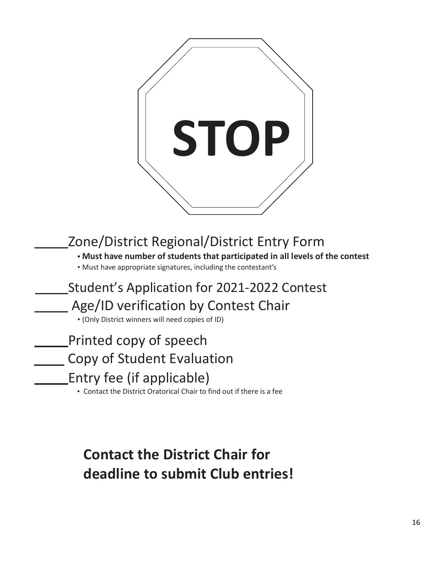

## Zone/District Regional/District Entry Form

**• Must have number of students that participated in all levels of the contest**

• Must have appropriate signatures, including the contestant's

## Student's Application for 2021-2022 Contest Age/ID verification by Contest Chair

• (Only District winners will need copies of ID)

## Printed copy of speech

### **\_\_\_\_** Copy of Student Evaluation

### Entry fee (if applicable)

• Contact the District Oratorical Chair to find out if there is a fee

## **Contact the District Chair for deadline to submit Club entries!**